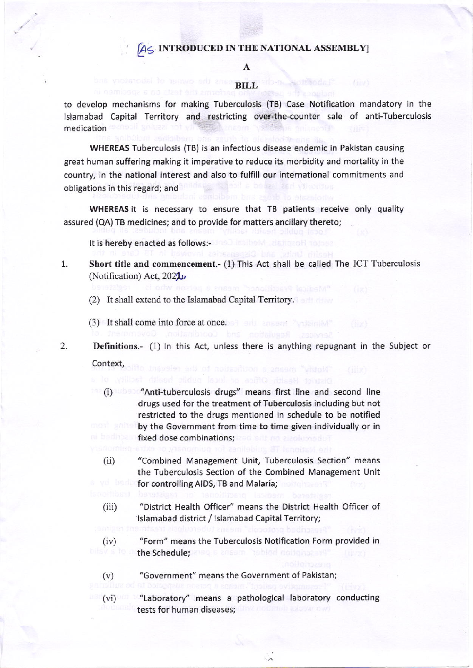## $A \subset I$  introduced in the national assembly]

# A

BILL

to develop mechanisms for making Tuberculosis (TB) Case Notification mandatory in the lslamabad capital Territory and restricting over-the-counter sale of anti-Tuberculosis medication

wHEREAS Tuberculosis (TB) is an infectious disease endemic in Pakistan causing great human suffering making it imperative to reduce its morbidity and mortality in the country, in the national interest and also to fulfill our international commitments and obligations in this regard; and

WHEREAS it is necessary to ensure that TB patients receive only quality assured (QA) TB medicines; and to provide for matters ancillary thereto;

It is hereby enacted as follows:-

- Short title and commencement.-  $(1)$  This Act shall be called The ICT Tuberculosis (Notification) Act,  $2022$ 1.
	- (2) It shall extend to the Islamabad Capital Territory.
	- (3) It shall come into force at once.

2.

Definitions.- (1) ln this Act, unless there is anything repugnant in the Subject or Context,

(i) "Anti-tuberculosis drugs" means first line and second line drugs used for the treatment of Tuberculosis including but not restricted to the drugs mentioned in schedule to be notified by the Government from time to time given individually or in fixed dose combinations;

- $(ii)$ "combined Management Unit, Tuberculosis section" means the Tuberculosis Section of the Combined Management Unit for controlling AIDS, TB and Malaria;
- $(iii)$ "District Health officer" means the District Health officer of lslamabad district / lslamabad Capital Territoryj
- 
- (iv) "Form" means the Tuberculosis Notification Form provided in the Schedule; and a ansum "tubled notinities
	- (v) "Government" means the Government of Pakistan;

"Laboratory" means a pathological laboratory conducting tests for human diseases; (vi)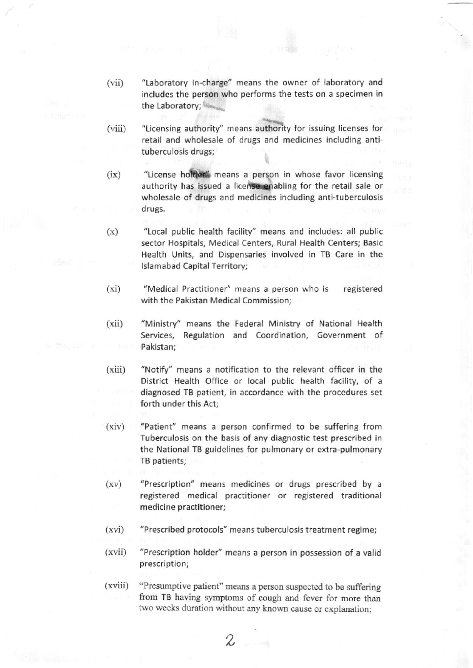- (vii) "Laboratory In-charge" means the owner of laboratory and includes the person who performs the tests on a specimen in the Laboratory;
- (viii) "Licensing authority" means authority for issuing licenses for retail and wholesale of drugs and medicines including antituberculosis drugs;
- (ix) "License holder" means a person in whose favor licensing authority has issued a license enabling for the retail sale or wholesale of drugs and medicines including anti-tuberculosis drugs.
- $(x)$  "Local public health facility" means and includes: all public sector Hospitals, Medical Centers, Rural Health Centers; Basic Health Units, and Dispensaries involved in TB Care in the lslamabad Capital Territory;
- (xi) "Medical Practitioner" means a person who is registered with the Pakistan Medical Commission;
- (xii) "Ministry" means the Federal Ministry of National Health Services, Regulation and Coordination, Government of Pakistan;
- (xiii) "Notify" means a notification to the relevant officer in the District Health Office or local public health facility, of <sup>a</sup> diagnosed TB patient, in accordance with the procedures set forth under this Act:
- (xiv) "Patient" means a person confirmed to be suffering from Tuberculosis on the basis of any diagnostic test prescribed in the National TB guidelines for pulmonary or extra-pulmonary TB patients;
- (xv) "Prescription" means medicines or drugs prescribed by <sup>a</sup> registered medical practitioner or registered traditional medicine practitioner;
- (xvi) "Prescribed protocols" means tuberculosis treatment regime;
- (xvii) "Prescription holder" means a person in possession of a valid prescription;
- "Presumptive patient" means a person suspected to be suffering from TB having symptoms of cough and fever for more than two weeks duration without any known cause or explanation; {xviii)

 $\chi$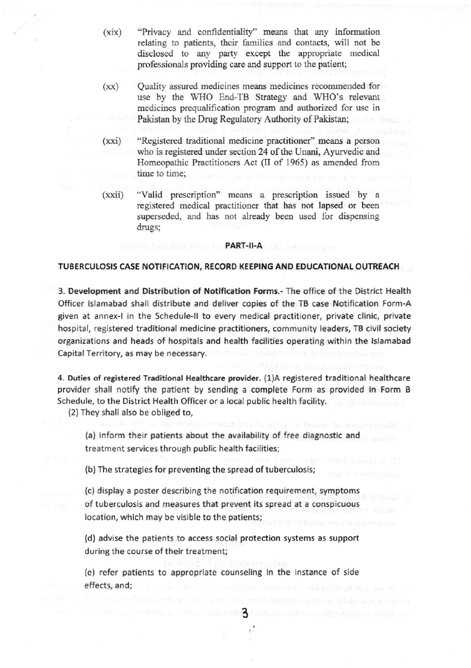- (xix) "Privacy and confidentiality" means that any information relating to patients, their families and contacts, will not be disclosed to any party except the appropriate medical professionals providing care and support to the patient;
- (xx) Quality assured medicines means medicines recommended for use by the WHO End-TB Strategy and WHO's relevant medicines prequalification program and authorized for use in Pakistan by the Drug Regulatory Authority of Pakistan;
- (xxi) "Registered traditional medicine practitioner" means a person who is registered under section 24 of the Unani, Ayurvedic and Homeopathic Practitioners Act (II of 1965) as amended from time to time;
- (xxii) "Valid prescription" means a prescription issued by a registered medical practitioner that has not lapsed or been superseded, and has not already been used for dispensing drugs;

### **PART-II-A** BRI

# TUBERCULOSIS CASE NOTIFICATION, RECORD KEEPING AND EDUCATIONAL OUTREACH

3. Development and Distribution of Notification Forms.- The office of the District Health Officer Islamabad shall distribute and deliver copies of the TB case Notification Form-A given at annex-l in the Schedule-ll to every medical practitioner, private clinlc, private hospital, registered traditional medicine practitioners, community leaders, TB civil society organizations and heads of hospitals and health facilities operating within the Islamabad Capital Territory, as may be necessary.

4. Duties of registered Traditional Healthcare provider. (1)A registered traditional healthcare provider shall notify the patient by sending a complete Form as provided in Form B Schedule, to the District Health Officer or a local public health facility.

{2)They shall also be obliged to,

(a) Inform their patients about the availability of free diagnostic and treatment services through public health facilities;

(b) The strategies for preventing the spread of tuberculosis;

(c) display a poster describing the notification requirement, symptoms of tuberculosis and measures that prevent its spread at a conspicuous location, which may be visible to the patients;

(d) advise the patients to access social protection systems as support during the course of their treatment;

(e) refer patients to appropriate counseling in the instance of side effeds, and;

Bath facility within a we